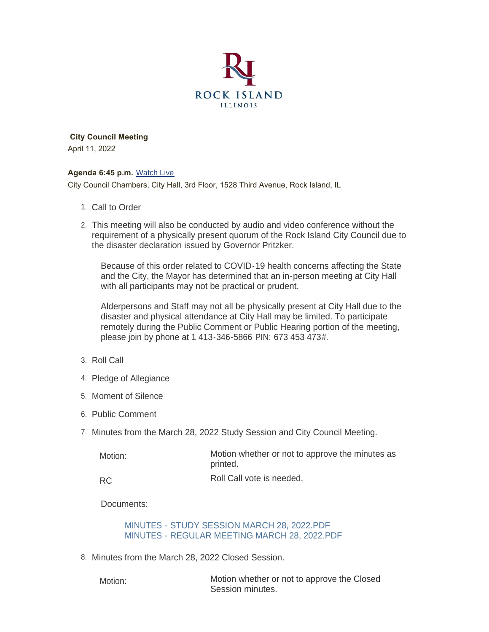

 **City Council Meeting** April 11, 2022

#### **Agenda 6:45 p.m.** [Watch Live](https://www.youtube.com/user/RockIslandIL/live)

City Council Chambers, City Hall, 3rd Floor, 1528 Third Avenue, Rock Island, IL

- 1. Call to Order
- This meeting will also be conducted by audio and video conference without the 2. requirement of a physically present quorum of the Rock Island City Council due to the disaster declaration issued by Governor Pritzker.

Because of this order related to COVID-19 health concerns affecting the State and the City, the Mayor has determined that an in-person meeting at City Hall with all participants may not be practical or prudent.

Alderpersons and Staff may not all be physically present at City Hall due to the disaster and physical attendance at City Hall may be limited. To participate remotely during the Public Comment or Public Hearing portion of the meeting, please join by phone at 1 413-346-5866 PIN: 673 453 473#.

- 3. Roll Call
- 4. Pledge of Allegiance
- 5. Moment of Silence
- 6. Public Comment
- 7. Minutes from the March 28, 2022 Study Session and City Council Meeting.

| Motion:   | Motion whether or not to approve the minutes as<br>printed. |
|-----------|-------------------------------------------------------------|
| <b>RC</b> | Roll Call vote is needed.                                   |

Documents:

#### [MINUTES - STUDY SESSION MARCH 28, 2022.PDF](https://www.rigov.org/AgendaCenter/ViewFile/Item/5476?fileID=7866) [MINUTES - REGULAR MEETING MARCH 28, 2022.PDF](https://www.rigov.org/AgendaCenter/ViewFile/Item/5476?fileID=7865)

8. Minutes from the March 28, 2022 Closed Session.

Motion:

Motion whether or not to approve the Closed Session minutes.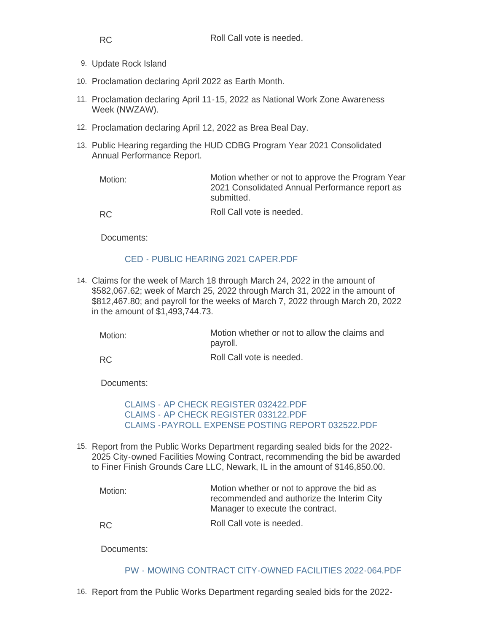- 9. Update Rock Island
- 10. Proclamation declaring April 2022 as Earth Month.
- 11. Proclamation declaring April 11-15, 2022 as National Work Zone Awareness Week (NWZAW).
- 12. Proclamation declaring April 12, 2022 as Brea Beal Day.
- 13. Public Hearing regarding the HUD CDBG Program Year 2021 Consolidated Annual Performance Report.

| Motion: | Motion whether or not to approve the Program Year<br>2021 Consolidated Annual Performance report as<br>submitted. |
|---------|-------------------------------------------------------------------------------------------------------------------|
| RC.     | Roll Call vote is needed.                                                                                         |

Documents:

#### [CED - PUBLIC HEARING 2021 CAPER.PDF](https://www.rigov.org/AgendaCenter/ViewFile/Item/5487?fileID=7850)

Claims for the week of March 18 through March 24, 2022 in the amount of 14. \$582,067.62; week of March 25, 2022 through March 31, 2022 in the amount of \$812,467.80; and payroll for the weeks of March 7, 2022 through March 20, 2022 in the amount of \$1,493,744.73.

| Motion: | Motion whether or not to allow the claims and<br>payroll. |
|---------|-----------------------------------------------------------|
|         |                                                           |

Roll Call vote is needed. RC

Documents:

[CLAIMS - AP CHECK REGISTER 032422.PDF](https://www.rigov.org/AgendaCenter/ViewFile/Item/5481?fileID=7843) [CLAIMS - AP CHECK REGISTER 033122.PDF](https://www.rigov.org/AgendaCenter/ViewFile/Item/5481?fileID=7844) [CLAIMS -PAYROLL EXPENSE POSTING REPORT 032522.PDF](https://www.rigov.org/AgendaCenter/ViewFile/Item/5481?fileID=7845)

15. Report from the Public Works Department regarding sealed bids for the 2022-2025 City-owned Facilities Mowing Contract, recommending the bid be awarded to Finer Finish Grounds Care LLC, Newark, IL in the amount of \$146,850.00.

| Motion: | Motion whether or not to approve the bid as<br>recommended and authorize the Interim City<br>Manager to execute the contract. |
|---------|-------------------------------------------------------------------------------------------------------------------------------|
| -RC     | Roll Call vote is needed.                                                                                                     |

Documents:

[PW - MOWING CONTRACT CITY-OWNED FACILITIES 2022-064.PDF](https://www.rigov.org/AgendaCenter/ViewFile/Item/5490?fileID=7855)

16. Report from the Public Works Department regarding sealed bids for the 2022-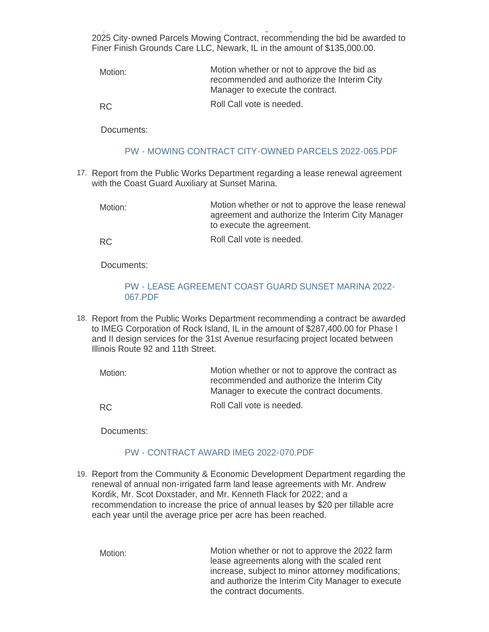Report from the Public Works Department regarding sealed bids for the 2022- 2025 City-owned Parcels Mowing Contract, recommending the bid be awarded to Finer Finish Grounds Care LLC, Newark, IL in the amount of \$135,000.00.

| Motion: | Motion whether or not to approve the bid as<br>recommended and authorize the Interim City<br>Manager to execute the contract. |
|---------|-------------------------------------------------------------------------------------------------------------------------------|
|         |                                                                                                                               |

RC

Roll Call vote is needed.

Documents:

#### [PW - MOWING CONTRACT CITY-OWNED PARCELS 2022-065.PDF](https://www.rigov.org/AgendaCenter/ViewFile/Item/5489?fileID=7852)

17. Report from the Public Works Department regarding a lease renewal agreement with the Coast Guard Auxiliary at Sunset Marina.

Motion whether or not to approve the lease renewal agreement and authorize the Interim City Manager to execute the agreement. Motion:

Roll Call vote is needed. RC

Documents:

### [PW - LEASE AGREEMENT COAST GUARD SUNSET MARINA 2022-](https://www.rigov.org/AgendaCenter/ViewFile/Item/5491?fileID=7862) 067.PDF

18. Report from the Public Works Department recommending a contract be awarded to IMEG Corporation of Rock Island, IL in the amount of \$287,400.00 for Phase I and II design services for the 31st Avenue resurfacing project located between Illinois Route 92 and 11th Street.

| Motion:   | Motion whether or not to approve the contract as<br>recommended and authorize the Interim City<br>Manager to execute the contract documents. |
|-----------|----------------------------------------------------------------------------------------------------------------------------------------------|
| <b>RC</b> | Roll Call vote is needed.                                                                                                                    |

Documents:

# [PW - CONTRACT AWARD IMEG 2022-070.PDF](https://www.rigov.org/AgendaCenter/ViewFile/Item/5493?fileID=7858)

19. Report from the Community & Economic Development Department regarding the renewal of annual non-irrigated farm land lease agreements with Mr. Andrew Kordik, Mr. Scot Doxstader, and Mr. Kenneth Flack for 2022; and a recommendation to increase the price of annual leases by \$20 per tillable acre each year until the average price per acre has been reached.

Motion whether or not to approve the 2022 farm lease agreements along with the scaled rent increase, subject to minor attorney modifications; and authorize the Interim City Manager to execute the contract documents. Motion: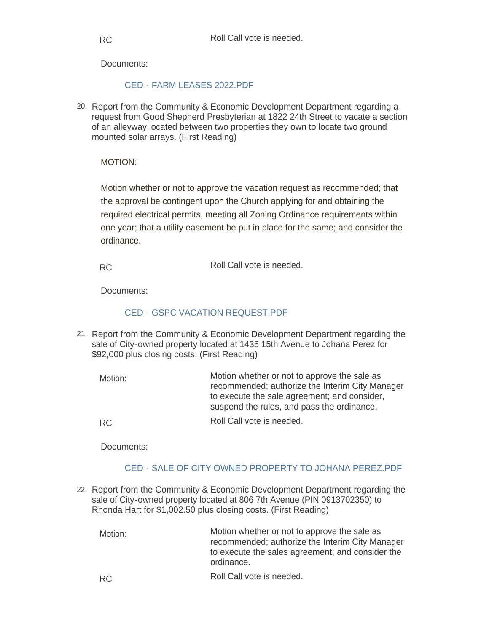Documents:

### [CED - FARM LEASES 2022.PDF](https://www.rigov.org/AgendaCenter/ViewFile/Item/5496?fileID=7861)

20. Report from the Community & Economic Development Department regarding a request from Good Shepherd Presbyterian at 1822 24th Street to vacate a section of an alleyway located between two properties they own to locate two ground mounted solar arrays. (First Reading)

### MOTION:

Motion whether or not to approve the vacation request as recommended; that the approval be contingent upon the Church applying for and obtaining the required electrical permits, meeting all Zoning Ordinance requirements within one year; that a utility easement be put in place for the same; and consider the ordinance.

Roll Call vote is needed. RC

Documents:

# [CED - GSPC VACATION REQUEST.PDF](https://www.rigov.org/AgendaCenter/ViewFile/Item/5488?fileID=7851)

21. Report from the Community & Economic Development Department regarding the sale of City-owned property located at 1435 15th Avenue to Johana Perez for \$92,000 plus closing costs. (First Reading)

Motion whether or not to approve the sale as recommended; authorize the Interim City Manager to execute the sale agreement; and consider, suspend the rules, and pass the ordinance. Roll Call vote is needed. Motion: RC

Documents:

# [CED - SALE OF CITY OWNED PROPERTY TO JOHANA PEREZ.PDF](https://www.rigov.org/AgendaCenter/ViewFile/Item/5484?fileID=7847)

22. Report from the Community & Economic Development Department regarding the sale of City-owned property located at 806 7th Avenue (PIN 0913702350) to Rhonda Hart for \$1,002.50 plus closing costs. (First Reading)

Motion whether or not to approve the sale as recommended; authorize the Interim City Manager to execute the sales agreement; and consider the ordinance. Motion:

Roll Call vote is needed. RC

RC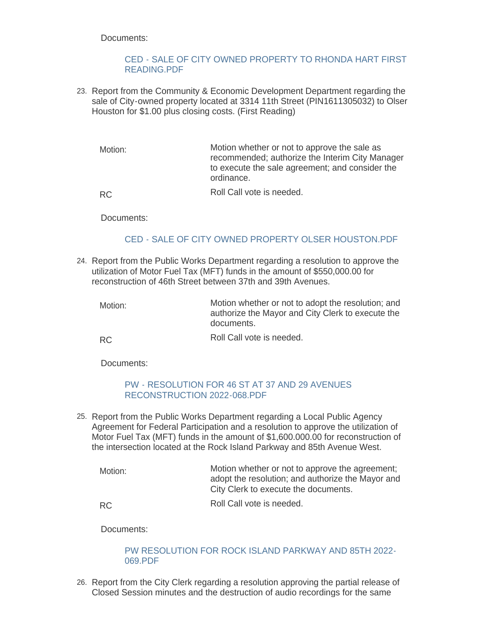Documents:

#### [CED - SALE OF CITY OWNED PROPERTY TO RHONDA HART FIRST](https://www.rigov.org/AgendaCenter/ViewFile/Item/5483?fileID=7846)  READING.PDF

23. Report from the Community & Economic Development Department regarding the sale of City-owned property located at 3314 11th Street (PIN1611305032) to Olser Houston for \$1.00 plus closing costs. (First Reading)

Motion whether or not to approve the sale as recommended; authorize the Interim City Manager to execute the sale agreement; and consider the ordinance. Motion:

Roll Call vote is needed.

RC

Documents:

# [CED - SALE OF CITY OWNED PROPERTY OLSER HOUSTON.PDF](https://www.rigov.org/AgendaCenter/ViewFile/Item/5485?fileID=7848)

- Report from the Public Works Department regarding a resolution to approve the 24. utilization of Motor Fuel Tax (MFT) funds in the amount of \$550,000.00 for reconstruction of 46th Street between 37th and 39th Avenues.
	- Motion whether or not to adopt the resolution; and authorize the Mayor and City Clerk to execute the documents. Motion:
	- Roll Call vote is needed. RC

Documents:

#### [PW - RESOLUTION FOR 46 ST AT 37 AND 29 AVENUES](https://www.rigov.org/AgendaCenter/ViewFile/Item/5495?fileID=7860)  RECONSTRUCTION 2022-068.PDF

25. Report from the Public Works Department regarding a Local Public Agency Agreement for Federal Participation and a resolution to approve the utilization of Motor Fuel Tax (MFT) funds in the amount of \$1,600.000.00 for reconstruction of the intersection located at the Rock Island Parkway and 85th Avenue West.

Motion whether or not to approve the agreement; adopt the resolution; and authorize the Mayor and City Clerk to execute the documents. Roll Call vote is needed. Motion:

RC

Documents:

#### [PW RESOLUTION FOR ROCK ISLAND PARKWAY AND 85TH 2022-](https://www.rigov.org/AgendaCenter/ViewFile/Item/5494?fileID=7867) 069.PDF

26. Report from the City Clerk regarding a resolution approving the partial release of Closed Session minutes and the destruction of audio recordings for the same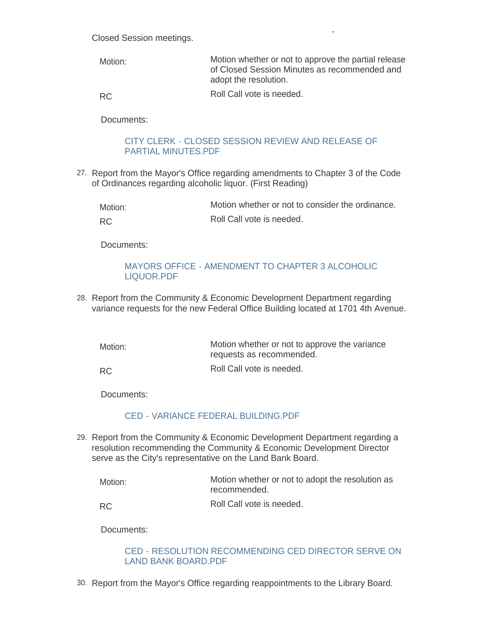Closed Session minutes and the destruction of audio recordings for the same Closed Session meetings.

Motion whether or not to approve the partial release of Closed Session Minutes as recommended and adopt the resolution. Roll Call vote is needed. Motion:

RC

Documents:

### [CITY CLERK - CLOSED SESSION REVIEW AND RELEASE OF](https://www.rigov.org/AgendaCenter/ViewFile/Item/5482?fileID=7856)  PARTIAL MINUTES.PDF

27. Report from the Mayor's Office regarding amendments to Chapter 3 of the Code of Ordinances regarding alcoholic liquor. (First Reading)

| Motion: | Motion whether or not to consider the ordinance. |
|---------|--------------------------------------------------|
| RC.     | Roll Call vote is needed.                        |

Documents:

#### [MAYORS OFFICE - AMENDMENT TO CHAPTER 3 ALCOHOLIC](https://www.rigov.org/AgendaCenter/ViewFile/Item/5492?fileID=7857)  LIQUOR.PDF

28. Report from the Community & Economic Development Department regarding variance requests for the new Federal Office Building located at 1701 4th Avenue.

Motion whether or not to approve the variance requests as recommended. Motion:

Roll Call vote is needed. RC

Documents:

#### [CED - VARIANCE FEDERAL BUILDING.PDF](https://www.rigov.org/AgendaCenter/ViewFile/Item/5456?fileID=7831)

Report from the Community & Economic Development Department regarding a 29. resolution recommending the Community & Economic Development Director serve as the City's representative on the Land Bank Board.

| Motion: | Motion whether or not to adopt the resolution as<br>recommended. |
|---------|------------------------------------------------------------------|
| RC.     | Roll Call vote is needed.                                        |

Documents:

#### [CED - RESOLUTION RECOMMENDING CED DIRECTOR SERVE ON](https://www.rigov.org/AgendaCenter/ViewFile/Item/5486?fileID=7849)  LAND BANK BOARD.PDF

30. Report from the Mayor's Office regarding reappointments to the Library Board.